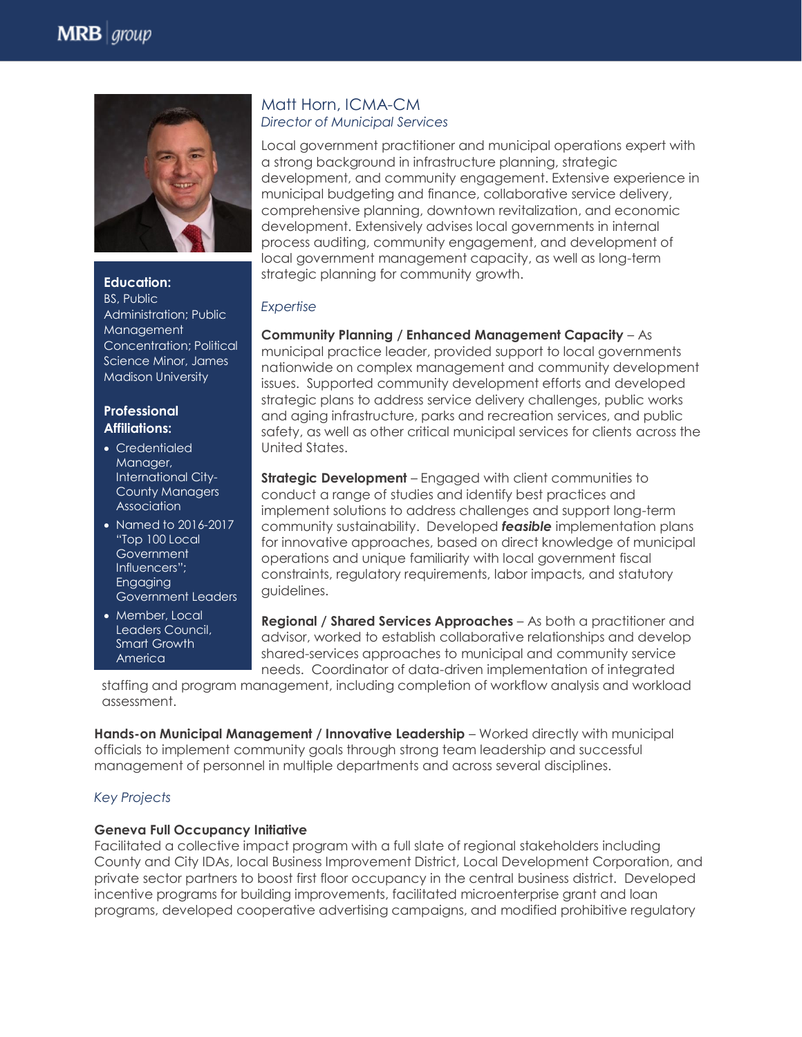

**Education:** BS, Public Administration; Public Management Concentration; Political Science Minor, James Madison University

#### **Professional Affiliations:**

- Credentialed Manager, International City-County Managers **Association**
- Named to 2016-2017 "Top 100 Local **Government** Influencers"; Engaging Government Leaders
- Member, Local Leaders Council, Smart Growth **America**

### Matt Horn, ICMA-CM *Director of Municipal Services*

Local government practitioner and municipal operations expert with a strong background in infrastructure planning, strategic development, and community engagement. Extensive experience in municipal budgeting and finance, collaborative service delivery, comprehensive planning, downtown revitalization, and economic development. Extensively advises local governments in internal process auditing, community engagement, and development of local government management capacity, as well as long-term strategic planning for community growth.

# *Expertise*

**Community Planning / Enhanced Management Capacity** – As municipal practice leader, provided support to local governments nationwide on complex management and community development issues. Supported community development efforts and developed strategic plans to address service delivery challenges, public works and aging infrastructure, parks and recreation services, and public safety, as well as other critical municipal services for clients across the United States.

**Strategic Development** – Engaged with client communities to conduct a range of studies and identify best practices and implement solutions to address challenges and support long-term community sustainability. Developed *feasible* implementation plans for innovative approaches, based on direct knowledge of municipal operations and unique familiarity with local government fiscal constraints, regulatory requirements, labor impacts, and statutory guidelines.

**Regional / Shared Services Approaches** – As both a practitioner and advisor, worked to establish collaborative relationships and develop shared-services approaches to municipal and community service needs. Coordinator of data-driven implementation of integrated

staffing and program management, including completion of workflow analysis and workload assessment.

**Hands-on Municipal Management / Innovative Leadership - Worked directly with municipal** officials to implement community goals through strong team leadership and successful management of personnel in multiple departments and across several disciplines.

## *Key Projects*

## **Geneva Full Occupancy Initiative**

Facilitated a collective impact program with a full slate of regional stakeholders including County and City IDAs, local Business Improvement District, Local Development Corporation, and private sector partners to boost first floor occupancy in the central business district. Developed incentive programs for building improvements, facilitated microenterprise grant and loan programs, developed cooperative advertising campaigns, and modified prohibitive regulatory